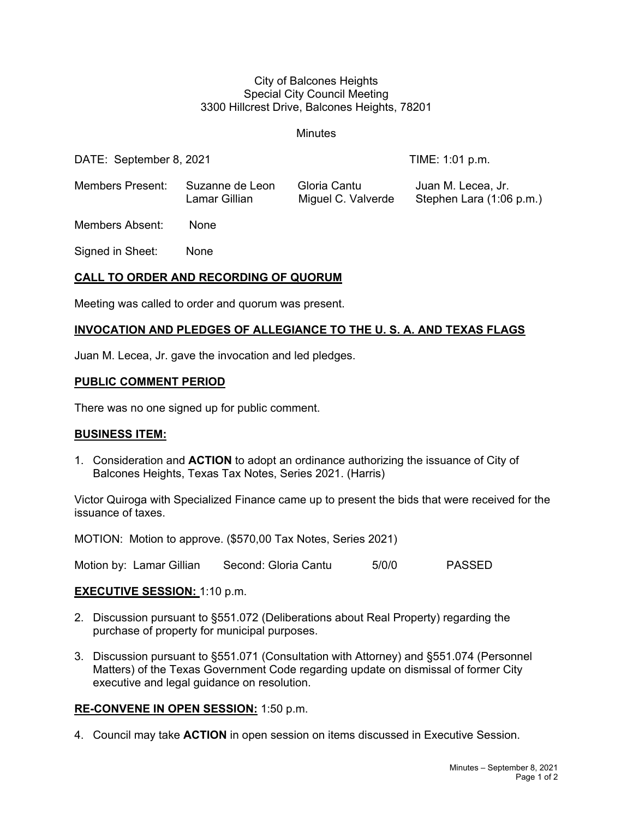#### City of Balcones Heights Special City Council Meeting 3300 Hillcrest Drive, Balcones Heights, 78201

### **Minutes**

DATE: September 8, 2021 TIME: 1:01 p.m.

Members Present: Suzanne de Leon Gloria Cantu Juan M. Lecea, Jr. Lamar Gillian Miguel C. Valverde Stephen Lara (1:06 p.m.)

Members Absent: None

Signed in Sheet: None

# **CALL TO ORDER AND RECORDING OF QUORUM**

Meeting was called to order and quorum was present.

# **INVOCATION AND PLEDGES OF ALLEGIANCE TO THE U. S. A. AND TEXAS FLAGS**

Juan M. Lecea, Jr. gave the invocation and led pledges.

## **PUBLIC COMMENT PERIOD**

There was no one signed up for public comment.

#### **BUSINESS ITEM:**

1. Consideration and **ACTION** to adopt an ordinance authorizing the issuance of City of Balcones Heights, Texas Tax Notes, Series 2021. (Harris)

Victor Quiroga with Specialized Finance came up to present the bids that were received for the issuance of taxes.

MOTION: Motion to approve. (\$570,00 Tax Notes, Series 2021)

Motion by: Lamar Gillian Second: Gloria Cantu 5/0/0 PASSED

# **EXECUTIVE SESSION:** 1:10 p.m.

- 2. Discussion pursuant to §551.072 (Deliberations about Real Property) regarding the purchase of property for municipal purposes.
- 3. Discussion pursuant to §551.071 (Consultation with Attorney) and §551.074 (Personnel Matters) of the Texas Government Code regarding update on dismissal of former City executive and legal guidance on resolution.

# **RE-CONVENE IN OPEN SESSION:** 1:50 p.m.

4. Council may take **ACTION** in open session on items discussed in Executive Session.